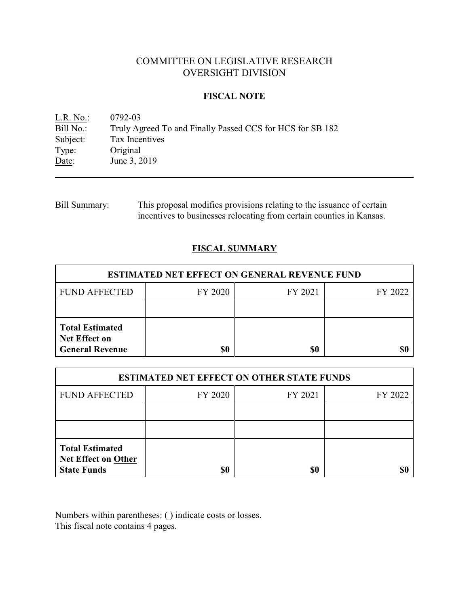# COMMITTEE ON LEGISLATIVE RESEARCH OVERSIGHT DIVISION

### **FISCAL NOTE**

<u>L.R. No.</u>: 0792-03<br>Bill No.: Truly Ag Bill No.: Truly Agreed To and Finally Passed CCS for HCS for SB 182<br>Subject: Tax Incentives Tax Incentives Type: Original Date: June 3, 2019

Bill Summary: This proposal modifies provisions relating to the issuance of certain incentives to businesses relocating from certain counties in Kansas.

### **FISCAL SUMMARY**

| <b>ESTIMATED NET EFFECT ON GENERAL REVENUE FUND</b>                      |         |         |         |  |
|--------------------------------------------------------------------------|---------|---------|---------|--|
| <b>FUND AFFECTED</b>                                                     | FY 2020 | FY 2021 | FY 2022 |  |
|                                                                          |         |         |         |  |
| <b>Total Estimated</b><br><b>Net Effect on</b><br><b>General Revenue</b> | \$0     | \$0     |         |  |

| <b>ESTIMATED NET EFFECT ON OTHER STATE FUNDS</b>                           |         |         |         |  |
|----------------------------------------------------------------------------|---------|---------|---------|--|
| <b>FUND AFFECTED</b>                                                       | FY 2020 | FY 2021 | FY 2022 |  |
|                                                                            |         |         |         |  |
|                                                                            |         |         |         |  |
| <b>Total Estimated</b><br><b>Net Effect on Other</b><br><b>State Funds</b> |         | \$0     |         |  |

Numbers within parentheses: ( ) indicate costs or losses. This fiscal note contains 4 pages.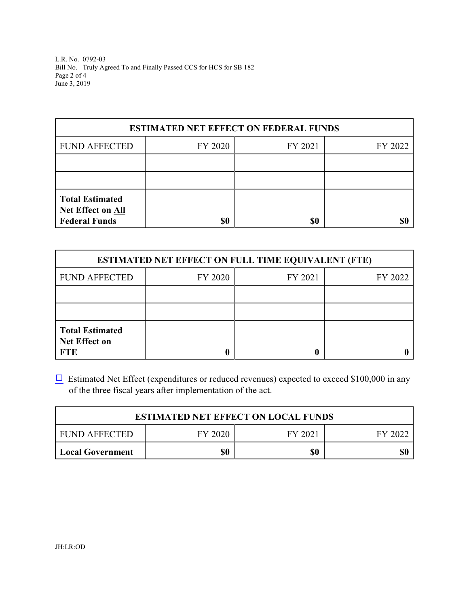L.R. No. 0792-03 Bill No. Truly Agreed To and Finally Passed CCS for HCS for SB 182 Page 2 of 4 June 3, 2019

| <b>ESTIMATED NET EFFECT ON FEDERAL FUNDS</b>                               |         |         |         |  |
|----------------------------------------------------------------------------|---------|---------|---------|--|
| <b>FUND AFFECTED</b>                                                       | FY 2020 | FY 2021 | FY 2022 |  |
|                                                                            |         |         |         |  |
|                                                                            |         |         |         |  |
| <b>Total Estimated</b><br><b>Net Effect on All</b><br><b>Federal Funds</b> | \$0     | \$0     |         |  |

| <b>ESTIMATED NET EFFECT ON FULL TIME EQUIVALENT (FTE)</b>    |         |         |         |  |
|--------------------------------------------------------------|---------|---------|---------|--|
| <b>FUND AFFECTED</b>                                         | FY 2020 | FY 2021 | FY 2022 |  |
|                                                              |         |         |         |  |
|                                                              |         |         |         |  |
| <b>Total Estimated</b><br><b>Net Effect on</b><br><b>FTE</b> |         |         |         |  |

 $\Box$  Estimated Net Effect (expenditures or reduced revenues) expected to exceed \$100,000 in any of the three fiscal years after implementation of the act.

| <b>ESTIMATED NET EFFECT ON LOCAL FUNDS</b> |         |         |         |  |
|--------------------------------------------|---------|---------|---------|--|
| FUND AFFECTED                              | FY 2020 | FY 2021 | FY 2022 |  |
| <b>Local Government</b>                    | \$0     | \$0     | \$0     |  |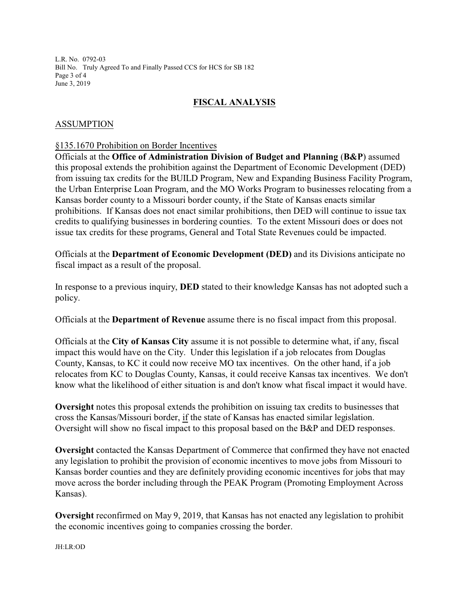L.R. No. 0792-03 Bill No. Truly Agreed To and Finally Passed CCS for HCS for SB 182 Page 3 of 4 June 3, 2019

## **FISCAL ANALYSIS**

### ASSUMPTION

#### §135.1670 Prohibition on Border Incentives

Officials at the **Office of Administration Division of Budget and Planning** (**B&P**) assumed this proposal extends the prohibition against the Department of Economic Development (DED) from issuing tax credits for the BUILD Program, New and Expanding Business Facility Program, the Urban Enterprise Loan Program, and the MO Works Program to businesses relocating from a Kansas border county to a Missouri border county, if the State of Kansas enacts similar prohibitions. If Kansas does not enact similar prohibitions, then DED will continue to issue tax credits to qualifying businesses in bordering counties. To the extent Missouri does or does not issue tax credits for these programs, General and Total State Revenues could be impacted.

Officials at the **Department of Economic Development (DED)** and its Divisions anticipate no fiscal impact as a result of the proposal.

In response to a previous inquiry, **DED** stated to their knowledge Kansas has not adopted such a policy.

Officials at the **Department of Revenue** assume there is no fiscal impact from this proposal.

Officials at the **City of Kansas City** assume it is not possible to determine what, if any, fiscal impact this would have on the City. Under this legislation if a job relocates from Douglas County, Kansas, to KC it could now receive MO tax incentives. On the other hand, if a job relocates from KC to Douglas County, Kansas, it could receive Kansas tax incentives. We don't know what the likelihood of either situation is and don't know what fiscal impact it would have.

**Oversight** notes this proposal extends the prohibition on issuing tax credits to businesses that cross the Kansas/Missouri border, if the state of Kansas has enacted similar legislation. Oversight will show no fiscal impact to this proposal based on the B&P and DED responses.

**Oversight** contacted the Kansas Department of Commerce that confirmed they have not enacted any legislation to prohibit the provision of economic incentives to move jobs from Missouri to Kansas border counties and they are definitely providing economic incentives for jobs that may move across the border including through the PEAK Program (Promoting Employment Across Kansas).

**Oversight** reconfirmed on May 9, 2019, that Kansas has not enacted any legislation to prohibit the economic incentives going to companies crossing the border.

JH:LR:OD